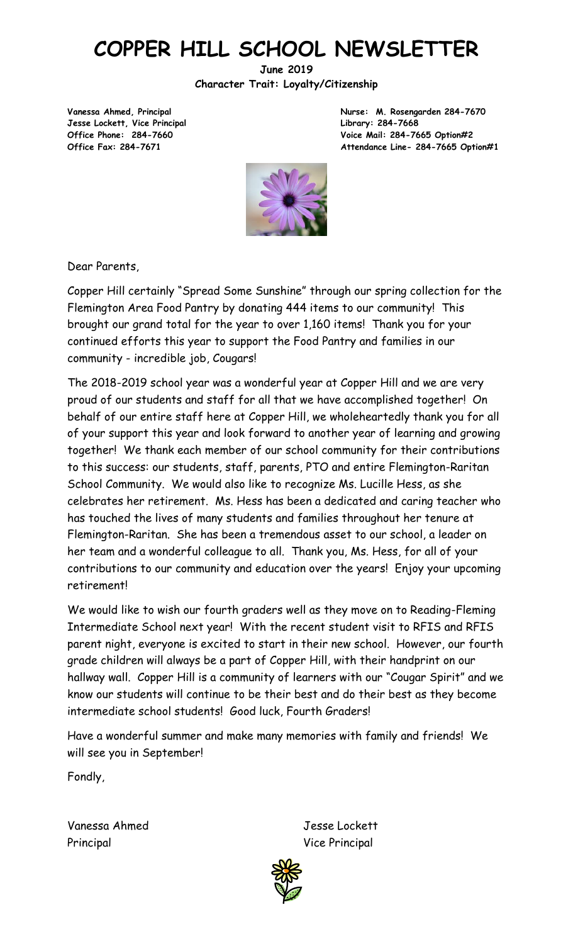# **COPPER HILL SCHOOL NEWSLETTER**

**June 2019 Character Trait: Loyalty/Citizenship**

**Jesse Lockett, Vice Principal Library: 284-7668**

**Vanessa Ahmed, Principal Nurse: M. Rosengarden 284-7670 Office Phone: 284-7660 Voice Mail: 284-7665 Option#2 Office Fax: 284-7671 Attendance Line- 284-7665 Option#1**



Dear Parents,

Copper Hill certainly "Spread Some Sunshine" through our spring collection for the Flemington Area Food Pantry by donating 444 items to our community! This brought our grand total for the year to over 1,160 items! Thank you for your continued efforts this year to support the Food Pantry and families in our community - incredible job, Cougars!

The 2018-2019 school year was a wonderful year at Copper Hill and we are very proud of our students and staff for all that we have accomplished together! On behalf of our entire staff here at Copper Hill, we wholeheartedly thank you for all of your support this year and look forward to another year of learning and growing together! We thank each member of our school community for their contributions to this success: our students, staff, parents, PTO and entire Flemington-Raritan School Community. We would also like to recognize Ms. Lucille Hess, as she celebrates her retirement. Ms. Hess has been a dedicated and caring teacher who has touched the lives of many students and families throughout her tenure at Flemington-Raritan. She has been a tremendous asset to our school, a leader on her team and a wonderful colleague to all. Thank you, Ms. Hess, for all of your contributions to our community and education over the years! Enjoy your upcoming retirement!

We would like to wish our fourth graders well as they move on to Reading-Fleming Intermediate School next year! With the recent student visit to RFIS and RFIS parent night, everyone is excited to start in their new school. However, our fourth grade children will always be a part of Copper Hill, with their handprint on our hallway wall. Copper Hill is a community of learners with our "Cougar Spirit" and we know our students will continue to be their best and do their best as they become intermediate school students! Good luck, Fourth Graders!

Have a wonderful summer and make many memories with family and friends! We will see you in September!

Fondly,

Vanessa Ahmed Jesse Lockett Principal Vice Principal